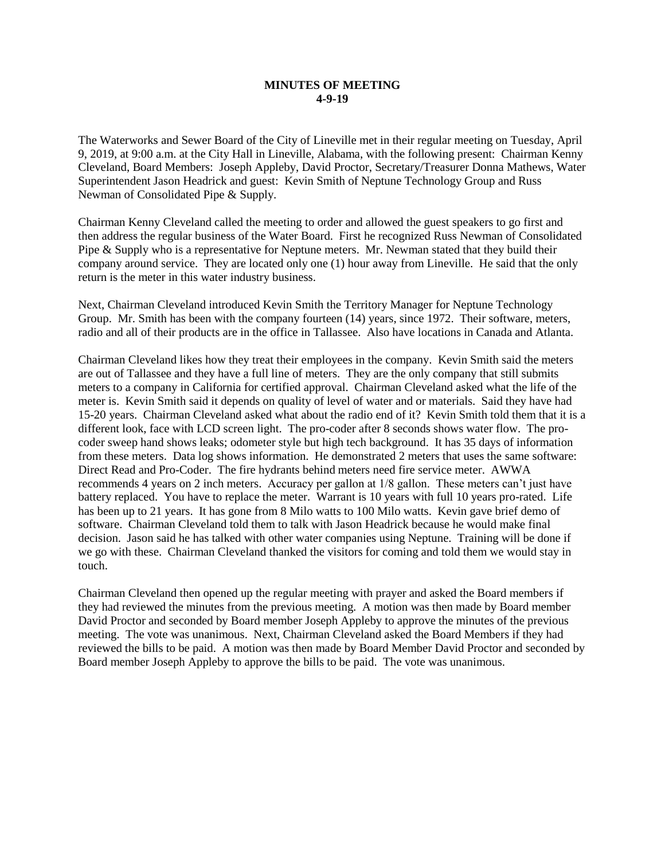## **MINUTES OF MEETING 4-9-19**

The Waterworks and Sewer Board of the City of Lineville met in their regular meeting on Tuesday, April 9, 2019, at 9:00 a.m. at the City Hall in Lineville, Alabama, with the following present: Chairman Kenny Cleveland, Board Members: Joseph Appleby, David Proctor, Secretary/Treasurer Donna Mathews, Water Superintendent Jason Headrick and guest: Kevin Smith of Neptune Technology Group and Russ Newman of Consolidated Pipe & Supply.

Chairman Kenny Cleveland called the meeting to order and allowed the guest speakers to go first and then address the regular business of the Water Board. First he recognized Russ Newman of Consolidated Pipe & Supply who is a representative for Neptune meters. Mr. Newman stated that they build their company around service. They are located only one (1) hour away from Lineville. He said that the only return is the meter in this water industry business.

Next, Chairman Cleveland introduced Kevin Smith the Territory Manager for Neptune Technology Group. Mr. Smith has been with the company fourteen (14) years, since 1972. Their software, meters, radio and all of their products are in the office in Tallassee. Also have locations in Canada and Atlanta.

Chairman Cleveland likes how they treat their employees in the company. Kevin Smith said the meters are out of Tallassee and they have a full line of meters. They are the only company that still submits meters to a company in California for certified approval. Chairman Cleveland asked what the life of the meter is. Kevin Smith said it depends on quality of level of water and or materials. Said they have had 15-20 years. Chairman Cleveland asked what about the radio end of it? Kevin Smith told them that it is a different look, face with LCD screen light. The pro-coder after 8 seconds shows water flow. The procoder sweep hand shows leaks; odometer style but high tech background. It has 35 days of information from these meters. Data log shows information. He demonstrated 2 meters that uses the same software: Direct Read and Pro-Coder. The fire hydrants behind meters need fire service meter. AWWA recommends 4 years on 2 inch meters. Accuracy per gallon at 1/8 gallon. These meters can't just have battery replaced. You have to replace the meter. Warrant is 10 years with full 10 years pro-rated. Life has been up to 21 years. It has gone from 8 Milo watts to 100 Milo watts. Kevin gave brief demo of software. Chairman Cleveland told them to talk with Jason Headrick because he would make final decision. Jason said he has talked with other water companies using Neptune. Training will be done if we go with these. Chairman Cleveland thanked the visitors for coming and told them we would stay in touch.

Chairman Cleveland then opened up the regular meeting with prayer and asked the Board members if they had reviewed the minutes from the previous meeting. A motion was then made by Board member David Proctor and seconded by Board member Joseph Appleby to approve the minutes of the previous meeting. The vote was unanimous. Next, Chairman Cleveland asked the Board Members if they had reviewed the bills to be paid. A motion was then made by Board Member David Proctor and seconded by Board member Joseph Appleby to approve the bills to be paid. The vote was unanimous.